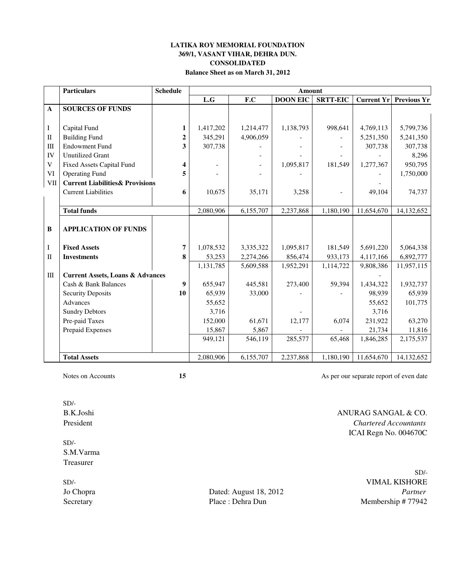### **LATIKA ROY MEMORIAL FOUNDATION 369/1, VASANT VIHAR, DEHRA DUN. CONSOLIDATED Balance Sheet as on March 31, 2012**

|                   | <b>Particulars</b>                          | <b>Schedule</b> | <b>Amount</b>       |                        |                      |                      |                        |                         |  |  |
|-------------------|---------------------------------------------|-----------------|---------------------|------------------------|----------------------|----------------------|------------------------|-------------------------|--|--|
|                   |                                             |                 | L.G                 | F.C                    | <b>DOON EIC</b>      | <b>SRTT-EIC</b>      | <b>Current Yr</b>      | <b>Previous Yr</b>      |  |  |
| $\mathbf{A}$      | <b>SOURCES OF FUNDS</b>                     |                 |                     |                        |                      |                      |                        |                         |  |  |
|                   |                                             |                 |                     |                        |                      |                      |                        |                         |  |  |
| I                 | Capital Fund                                | $\mathbf{1}$    | 1,417,202           | 1,214,477              | 1,138,793            | 998,641              | 4,769,113              | 5,799,736               |  |  |
| $\mathbf{I}$      | <b>Building Fund</b>                        | $\overline{2}$  | 345,291             | 4,906,059              |                      |                      | 5,251,350              | 5,241,350               |  |  |
| Ш                 | <b>Endowment Fund</b>                       | 3               | 307,738             |                        |                      |                      | 307,738                | 307,738                 |  |  |
| IV                | <b>Unutilized Grant</b>                     |                 |                     |                        |                      |                      |                        | 8,296                   |  |  |
| V                 | <b>Fixed Assets Capital Fund</b>            | 4               |                     |                        | 1,095,817            | 181,549              | 1,277,367              | 950,795                 |  |  |
| VI                | <b>Operating Fund</b>                       | 5               |                     |                        |                      |                      |                        | 1,750,000               |  |  |
| VII               | <b>Current Liabilities &amp; Provisions</b> |                 |                     |                        |                      |                      |                        |                         |  |  |
|                   | <b>Current Liabilities</b>                  | 6               | 10,675              | 35,171                 | 3,258                |                      | 49,104                 | 74,737                  |  |  |
|                   |                                             |                 |                     |                        |                      |                      |                        |                         |  |  |
|                   | <b>Total funds</b>                          |                 | 2,080,906           | 6,155,707              | 2,237,868            | 1,180,190            | 11,654,670             | 14,132,652              |  |  |
|                   |                                             |                 |                     |                        |                      |                      |                        |                         |  |  |
| $\bf{B}$          | <b>APPLICATION OF FUNDS</b>                 |                 |                     |                        |                      |                      |                        |                         |  |  |
|                   |                                             | 7               |                     |                        |                      |                      |                        |                         |  |  |
| I<br>$\mathbf{I}$ | <b>Fixed Assets</b>                         | 8               | 1,078,532           | 3,335,322              | 1,095,817            | 181,549              | 5,691,220              | 5,064,338               |  |  |
|                   | <b>Investments</b>                          |                 | 53,253<br>1,131,785 | 2,274,266<br>5,609,588 | 856,474<br>1,952,291 | 933,173<br>1,114,722 | 4,117,166<br>9,808,386 | 6,892,777<br>11,957,115 |  |  |
| Ш                 | <b>Current Assets, Loans &amp; Advances</b> |                 |                     |                        |                      |                      |                        |                         |  |  |
|                   | Cash & Bank Balances                        | 9               | 655,947             | 445,581                | 273,400              | 59,394               | 1,434,322              | 1,932,737               |  |  |
|                   | <b>Security Deposits</b>                    | 10              | 65,939              | 33,000                 |                      |                      | 98,939                 | 65,939                  |  |  |
|                   | Advances                                    |                 | 55,652              |                        |                      |                      | 55,652                 | 101,775                 |  |  |
|                   | <b>Sundry Debtors</b>                       |                 | 3,716               |                        |                      |                      | 3,716                  |                         |  |  |
|                   | Pre-paid Taxes                              |                 | 152,000             | 61,671                 | 12,177               | 6,074                | 231,922                | 63,270                  |  |  |
|                   | Prepaid Expenses                            |                 | 15,867              | 5,867                  |                      |                      | 21,734                 | 11,816                  |  |  |
|                   |                                             |                 | 949,121             | 546,119                | 285,577              | 65,468               | 1,846,285              | 2,175,537               |  |  |
|                   |                                             |                 |                     |                        |                      |                      |                        |                         |  |  |
|                   | <b>Total Assets</b>                         |                 | 2,080,906           | 6,155,707              | 2,237,868            | 1,180,190            | 11,654,670             | 14,132,652              |  |  |

 $SD/-$ 

 $SD/-$ S.M.Varma Treasurer

Jo Chopra Dated: August 18, 2012 *Partner* Secretary Place : Dehra Dun Membership # 77942

Notes on Accounts **15 15** As per our separate report of even date

B.K.Joshi ANURAG SANGAL & CO. President *Chartered Accountants* ICAI Regn No. 004670C

SD/- SD/- VIMAL KISHORE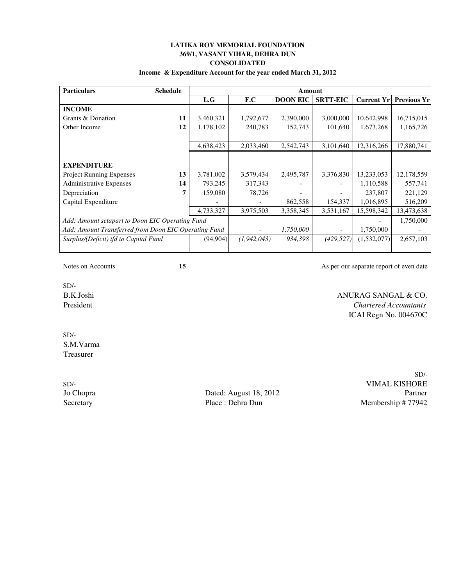# **369/1, VASANT VIHAR, DEHRA DUN LATIKA ROY MEMORIAL FOUNDATION CONSOLIDATED**

#### **Income & Expenditure Account for the year ended March 31, 2012**

| <b>Particulars</b>                                   | <b>Schedule</b> | Amount    |               |                 |                 |             |                    |  |  |
|------------------------------------------------------|-----------------|-----------|---------------|-----------------|-----------------|-------------|--------------------|--|--|
|                                                      |                 | L.G       | F.C           | <b>DOON EIC</b> | <b>SRTT-EIC</b> | Current Yr  | <b>Previous Yr</b> |  |  |
| <b>INCOME</b>                                        |                 |           |               |                 |                 |             |                    |  |  |
| Grants & Donation                                    | 11              | 3,460,321 | 1,792,677     | 2,390,000       | 3,000,000       | 10,642,998  | 16,715,015         |  |  |
| Other Income                                         | 12              | 1,178,102 | 240,783       | 152,743         | 101,640         | 1,673,268   | 1,165,726          |  |  |
|                                                      |                 |           |               |                 |                 |             |                    |  |  |
|                                                      |                 | 4,638,423 | 2,033,460     | 2,542,743       | 3,101,640       | 12,316,266  | 17,880,741         |  |  |
|                                                      |                 |           |               |                 |                 |             |                    |  |  |
| <b>EXPENDITURE</b>                                   |                 |           |               |                 |                 |             |                    |  |  |
| <b>Project Running Expenses</b>                      | 13              | 3,781,002 | 3,579,434     | 2,495,787       | 3,376,830       | 13,233,053  | 12,178,559         |  |  |
| Administrative Expenses                              | 14              | 793,245   | 317,343       |                 |                 | 1,110,588   | 557,741            |  |  |
| Depreciation                                         | 7               | 159,080   | 78,726        |                 |                 | 237,807     | 221,129            |  |  |
| Capital Expenditure                                  |                 |           |               | 862,558         | 154,337         | 1,016,895   | 516,209            |  |  |
|                                                      |                 | 4,733,327 | 3,975,503     | 3,358,345       | 3,531,167       | 15,598,342  | 13,473,638         |  |  |
| Add: Amount setapart to Doon EIC Operating Fund      |                 |           |               |                 |                 |             | 1,750,000          |  |  |
| Add: Amount Transferred from Doon EIC Operating Fund |                 |           |               | 1,750,000       |                 | 1,750,000   |                    |  |  |
| Surplus/(Deficit) tfd to Capital Fund                |                 | (94, 904) | (1, 942, 043) | 934,398         | (429, 527)      | (1,532,077) | 2,657,103          |  |  |
|                                                      |                 |           |               |                 |                 |             |                    |  |  |

Notes on Accounts **15 15** As per our separate report of even date

 $SD/-$ 

B.K.Joshi ANURAG SANGAL & CO. President *Chartered Accountants* ICAI Regn No. 004670C

SD/- S.M.Varma Treasurer

Jo Chopra Dated: August 18, 2012 Partner Secretary Place : Dehra Dun Membership # 77942

SD/- SD/- VIMAL KISHORE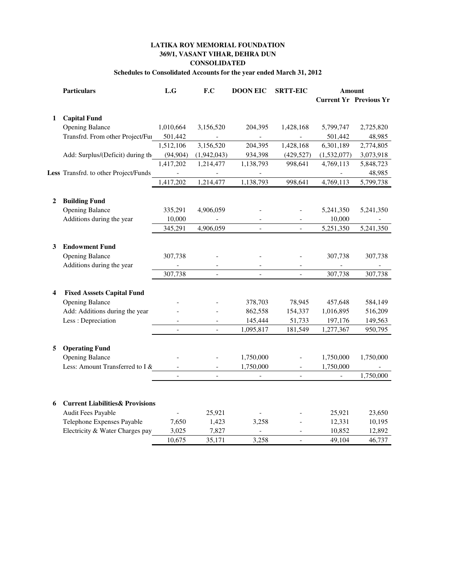### **LATIKA ROY MEMORIAL FOUNDATION 369/1, VASANT VIHAR, DEHRA DUN CONSOLIDATED**

# **Schedules to Consolidated Accounts for the year ended March 31, 2012**

|   | <b>Particulars</b>                         | L.G          | F.C                      | <b>DOON EIC</b>          | <b>SRTT-EIC</b>          |                          | <b>Amount</b>                 |
|---|--------------------------------------------|--------------|--------------------------|--------------------------|--------------------------|--------------------------|-------------------------------|
|   |                                            |              |                          |                          |                          |                          | <b>Current Yr Previous Yr</b> |
|   |                                            |              |                          |                          |                          |                          |                               |
| 1 | <b>Capital Fund</b>                        |              |                          |                          |                          |                          |                               |
|   | <b>Opening Balance</b>                     | 1,010,664    | 3,156,520                | 204,395                  | 1,428,168                | 5,799,747                | 2,725,820                     |
|   | Transfrd. From other Project/Fur           | 501,442      | $\overline{\phantom{a}}$ | $\equiv$                 | $\overline{\phantom{a}}$ | 501,442                  | 48,985                        |
|   |                                            | 1,512,106    | 3,156,520                | 204,395                  | 1,428,168                | 6,301,189                | 2,774,805                     |
|   | Add: Surplus/(Deficit) during the          | (94, 904)    | (1,942,043)              | 934,398                  | (429, 527)               | (1,532,077)              | 3,073,918                     |
|   |                                            | 1,417,202    | 1,214,477                | 1,138,793                | 998,641                  | 4,769,113                | 5,848,723                     |
|   | Less Transfrd. to other Project/Funds      |              |                          |                          |                          |                          | 48,985                        |
|   |                                            | 1,417,202    | 1,214,477                | 1,138,793                | 998,641                  | 4,769,113                | 5,799,738                     |
| 2 | <b>Building Fund</b>                       |              |                          |                          |                          |                          |                               |
|   | <b>Opening Balance</b>                     | 335,291      | 4,906,059                |                          |                          | 5,241,350                | 5,241,350                     |
|   | Additions during the year                  | 10,000       | $\overline{\phantom{a}}$ |                          |                          | 10,000                   |                               |
|   |                                            | 345,291      | 4,906,059                |                          |                          | 5,251,350                | 5,241,350                     |
|   |                                            |              |                          |                          |                          |                          |                               |
| 3 | <b>Endowment Fund</b>                      |              |                          |                          |                          |                          |                               |
|   | <b>Opening Balance</b>                     | 307,738      |                          |                          |                          | 307,738                  | 307,738                       |
|   | Additions during the year                  |              |                          |                          |                          |                          |                               |
|   |                                            | 307,738      |                          | $\blacksquare$           |                          | 307,738                  | 307,738                       |
|   |                                            |              |                          |                          |                          |                          |                               |
| 4 | <b>Fixed Asssets Capital Fund</b>          |              |                          |                          |                          |                          |                               |
|   | <b>Opening Balance</b>                     |              |                          | 378,703                  | 78,945                   | 457,648                  | 584,149                       |
|   | Add: Additions during the year             |              |                          | 862,558                  | 154,337                  | 1,016,895                | 516,209                       |
|   | Less: Depreciation                         |              |                          | 145,444                  | 51,733                   | 197,176                  | 149,563                       |
|   |                                            |              |                          | 1,095,817                | 181,549                  | 1,277,367                | 950,795                       |
| 5 | <b>Operating Fund</b>                      |              |                          |                          |                          |                          |                               |
|   | <b>Opening Balance</b>                     |              |                          | 1,750,000                |                          | 1,750,000                | 1,750,000                     |
|   | Less: Amount Transferred to I $\&$         |              |                          | 1,750,000                | $\overline{\phantom{a}}$ | 1,750,000                |                               |
|   |                                            | $\mathbf{r}$ | $\overline{a}$           | $\overline{\phantom{a}}$ | $\mathbf{r}$             | $\overline{\phantom{a}}$ | 1,750,000                     |
|   |                                            |              |                          |                          |                          |                          |                               |
|   |                                            |              |                          |                          |                          |                          |                               |
| 6 | <b>Current Liabilities&amp; Provisions</b> |              |                          |                          |                          |                          |                               |
|   | Audit Fees Payable                         |              | 25,921                   |                          |                          | 25,921                   | 23,650                        |
|   | Telephone Expenses Payable                 | 7,650        | 1,423                    | 3,258                    |                          | 12,331                   | 10,195                        |
|   | Electricity & Water Charges pay            | 3,025        | 7,827                    |                          |                          | 10,852                   | 12,892                        |
|   |                                            | 10,675       | 35,171                   | 3,258                    |                          | 49,104                   | 46,737                        |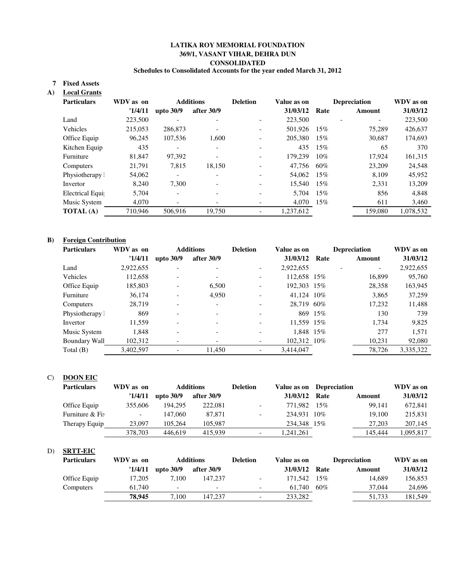### **369/1, VASANT VIHAR, DEHRA DUN LATIKA ROY MEMORIAL FOUNDATION CONSOLIDATED Schedules to Consolidated Accounts for the year ended March 31, 2012**

### **Fixed Assets 7**

### **A) Local Grants**

| <b>Particulars</b>      | WDV as on |                          | <b>Additions</b><br><b>Deletion</b> |  | Value as on |      | <b>Depreciation</b> | WDV as on |
|-------------------------|-----------|--------------------------|-------------------------------------|--|-------------|------|---------------------|-----------|
|                         | '1/4/11   | upto 30/9                | after 30/9                          |  | 31/03/12    | Rate | Amount              | 31/03/12  |
| Land                    | 223,500   |                          |                                     |  | 223,500     |      |                     | 223,500   |
| Vehicles                | 215.053   | 286,873                  |                                     |  | 501.926     | 15%  | 75.289              | 426,637   |
| Office Equip            | 96.245    | 107.536                  | 1.600                               |  | 205,380     | 15%  | 30.687              | 174,693   |
| Kitchen Equip           | 435       | $\overline{\phantom{a}}$ | $\overline{\phantom{a}}$            |  | 435         | 15%  | 65                  | 370       |
| Furniture               | 81,847    | 97,392                   |                                     |  | 179.239     | 10%  | 17,924              | 161,315   |
| Computers               | 21.791    | 7.815                    | 18.150                              |  | 47.756      | 60%  | 23,209              | 24,548    |
| Physiotherapy l         | 54,062    | $\overline{\phantom{a}}$ |                                     |  | 54,062      | 15%  | 8.109               | 45,952    |
| Invertor                | 8.240     | 7.300                    | $\overline{\phantom{a}}$            |  | 15.540      | 15%  | 2,331               | 13,209    |
| <b>Electrical Equip</b> | 5.704     | $\overline{\phantom{a}}$ |                                     |  | 5.704       | 15%  | 856                 | 4,848     |
| Music System            | 4,070     | $\overline{\phantom{a}}$ |                                     |  | 4,070       | 15%  | 611                 | 3,460     |
| <b>TOTAL</b> (A)        | 710,946   | 506.916                  | 19,750                              |  | 1,237,612   |      | 159,080             | 1,078,532 |

## **B) Foreign Contribution**

| <b>Particulars</b> | WDV as on | <b>Additions</b>             |            | <b>Deletion</b>              | Value as on |         | <b>Depreciation</b>      | WDV as on |
|--------------------|-----------|------------------------------|------------|------------------------------|-------------|---------|--------------------------|-----------|
|                    | '1/4/11   | upto 30/9                    | after 30/9 |                              | 31/03/12    | Rate    | Amount                   | 31/03/12  |
| Land               | 2,922,655 | $\overline{\phantom{0}}$     |            | $\overline{\phantom{a}}$     | 2,922,655   |         | $\overline{\phantom{a}}$ | 2,922,655 |
| Vehicles           | 112,658   |                              |            | $\qquad \qquad -$            | 112,658 15% |         | 16,899                   | 95,760    |
| Office Equip       | 185,803   | $\qquad \qquad \blacksquare$ | 6.500      | $\qquad \qquad -$            | 192,303 15% |         | 28,358                   | 163,945   |
| Furniture          | 36.174    |                              | 4,950      | $\qquad \qquad \blacksquare$ | 41.124 10\% |         | 3.865                    | 37,259    |
| Computers          | 28,719    |                              |            | $\overline{\phantom{0}}$     | 28.719 60%  |         | 17,232                   | 11,488    |
| Physiotherapy 1    | 869       | $\overline{\phantom{0}}$     |            | $\overline{\phantom{a}}$     |             | 869 15% | 130                      | 739       |
| Invertor           | 11.559    | $\overline{\phantom{0}}$     |            | $\overline{\phantom{a}}$     | 11.559 15%  |         | 1.734                    | 9,825     |
| Music System       | 1.848     | $\overline{\phantom{0}}$     |            | $\overline{\phantom{0}}$     | 1.848 15%   |         | 277                      | 1.571     |
| Boundary Wall      | 102,312   |                              |            | $\overline{\phantom{a}}$     | 102,312 10% |         | 10,231                   | 92,080    |
| Total $(B)$        | 3,402,597 |                              | 11,450     | $\overline{\phantom{a}}$     | 3,414,047   |         | 78,726                   | 3,335,322 |

#### C) **DOON EIC**

| <b>Particulars</b> | WDV as on                |             | <b>Additions</b><br><b>Deletion</b> |                          |              | Value as on Depreciation |         | WDV as on |
|--------------------|--------------------------|-------------|-------------------------------------|--------------------------|--------------|--------------------------|---------|-----------|
|                    | '1/4/11                  | upto $30/9$ | after 30/9                          |                          | 31/03/12     | Rate                     | Amount  | 31/03/12  |
| Office Equip       | 355,606                  | 194.295     | 222,081                             | $\overline{\phantom{0}}$ | 771,982      | 15%                      | 99.141  | 672,841   |
| Furniture & Fi     | $\overline{\phantom{a}}$ | 147.060     | 87.871                              | $\overline{\phantom{0}}$ | 234.931 10\% |                          | 19.100  | 215,831   |
| Therapy Equip:     | 23,097                   | 105.264     | 105.987                             |                          | 234,348 15%  |                          | 27,203  | 207,145   |
|                    | 378,703                  | 446.619     | 415.939                             | $\overline{\phantom{a}}$ | 1,241,261    |                          | 145,444 | 1,095,817 |

### D) **SRTT-EIC**

| <b>Particulars</b> | WDV as on | <b>Additions</b>         |                          | <b>Deletion</b>          | Value as on | <b>Depreciation</b> |        | WDV as on |
|--------------------|-----------|--------------------------|--------------------------|--------------------------|-------------|---------------------|--------|-----------|
|                    | '1/4/11   | upto $30/9$              | after 30/9               |                          | 31/03/12    | Rate                | Amount | 31/03/12  |
| Office Equip       | 17.205    | 7.100                    | 147.237                  | $\overline{\phantom{a}}$ | 171.542 15% |                     | 14.689 | 156,853   |
| Computers          | 61.740    | $\overline{\phantom{a}}$ | $\overline{\phantom{0}}$ | $\overline{\phantom{a}}$ | 61.740      | 60%                 | 37,044 | 24,696    |
|                    | 78.945    | 7.100                    | 147.237                  | $\overline{\phantom{a}}$ | 233.282     |                     | 51.733 | 181.549   |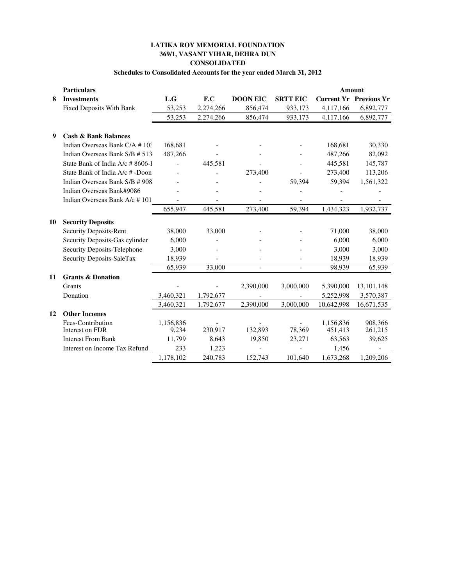## **LATIKA ROY MEMORIAL FOUNDATION 369/1, VASANT VIHAR, DEHRA DUN CONSOLIDATED**

### **Schedules to Consolidated Accounts for the year ended March 31, 2012**

|    | <b>Particulars</b>               |           |           |                          |                          |            | <b>Amount</b>                 |
|----|----------------------------------|-----------|-----------|--------------------------|--------------------------|------------|-------------------------------|
| 8  | <b>Investments</b>               | L.G       | F.C       | <b>DOON EIC</b>          | <b>SRTT EIC</b>          |            | <b>Current Yr Previous Yr</b> |
|    | <b>Fixed Deposits With Bank</b>  | 53,253    | 2,274,266 | 856,474                  | 933,173                  | 4,117,166  | 6,892,777                     |
|    |                                  | 53,253    | 2,274,266 | 856,474                  | 933,173                  | 4,117,166  | 6,892,777                     |
|    |                                  |           |           |                          |                          |            |                               |
| 9  | <b>Cash &amp; Bank Balances</b>  |           |           |                          |                          |            |                               |
|    | Indian Overseas Bank C/A # 103   | 168,681   |           |                          |                          | 168.681    | 30.330                        |
|    | Indian Overseas Bank S/B # 513   | 487,266   |           |                          |                          | 487,266    | 82,092                        |
|    | State Bank of India A/c # 8606-I |           | 445,581   |                          |                          | 445,581    | 145,787                       |
|    | State Bank of India A/c # -Doon  |           |           | 273,400                  |                          | 273,400    | 113,206                       |
|    | Indian Overseas Bank S/B # 908   |           |           |                          | 59,394                   | 59,394     | 1,561,322                     |
|    | Indian Overseas Bank#9086        |           |           |                          |                          |            |                               |
|    | Indian Overseas Bank A/c #101    |           |           |                          |                          |            |                               |
|    |                                  | 655,947   | 445,581   | 273,400                  | 59,394                   | 1,434,323  | 1,932,737                     |
| 10 | <b>Security Deposits</b>         |           |           |                          |                          |            |                               |
|    | <b>Security Deposits-Rent</b>    | 38,000    | 33,000    |                          |                          | 71,000     | 38,000                        |
|    | Security Deposits-Gas cylinder   | 6,000     |           |                          |                          | 6,000      | 6,000                         |
|    | Security Deposits-Telephone      | 3,000     |           |                          |                          | 3,000      | 3,000                         |
|    | Security Deposits-SaleTax        | 18,939    |           |                          |                          | 18,939     | 18,939                        |
|    |                                  | 65,939    | 33,000    | $\overline{\phantom{0}}$ | $\overline{\phantom{a}}$ | 98,939     | 65,939                        |
| 11 | <b>Grants &amp; Donation</b>     |           |           |                          |                          |            |                               |
|    | <b>Grants</b>                    |           |           | 2,390,000                | 3,000,000                | 5,390,000  | 13,101,148                    |
|    | Donation                         | 3,460,321 | 1,792,677 |                          |                          | 5,252,998  | 3,570,387                     |
|    |                                  | 3,460,321 | 1,792,677 | 2,390,000                | 3,000,000                | 10,642,998 | 16,671,535                    |
| 12 | <b>Other Incomes</b>             |           |           |                          |                          |            |                               |
|    | Fees-Contribution                | 1,156,836 |           |                          |                          | 1,156,836  | 908,366                       |
|    | Interest on FDR                  | 9,234     | 230,917   | 132,893                  | 78,369                   | 451,413    | 261,215                       |
|    | <b>Interest From Bank</b>        | 11,799    | 8,643     | 19,850                   | 23,271                   | 63,563     | 39,625                        |
|    | Interest on Income Tax Refund    | 233       | 1,223     |                          |                          | 1,456      |                               |
|    |                                  | 1,178,102 | 240,783   | 152,743                  | 101,640                  | 1,673,268  | 1,209,206                     |